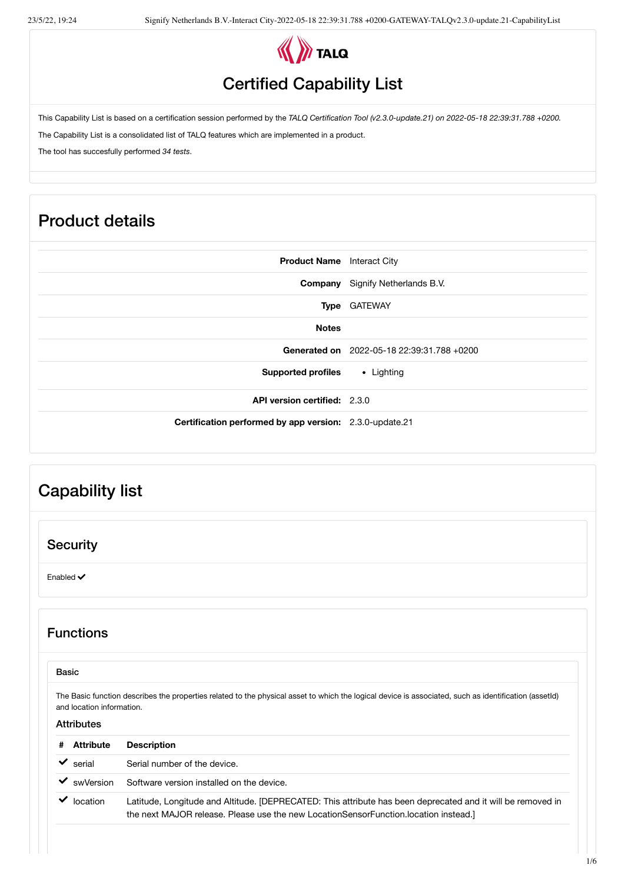

## Certified Capability List

This Capability List is based on a certification session performed by the *TALQ Certification Tool (v2.3.0-update.21) on 2022-05-18 22:39:31.788 +0200.*

The Capability List is a consolidated list of TALQ features which are implemented in a product.

The tool has succesfully performed *34 tests*.

## Product details

| <b>Product Name</b> Interact City                       |
|---------------------------------------------------------|
| <b>Company</b> Signify Netherlands B.V.                 |
| Type GATEWAY                                            |
|                                                         |
| Generated on 2022-05-18 22:39:31.788 +0200              |
| <b>Supported profiles</b><br>• Lighting                 |
| <b>API version certified: 2.3.0</b>                     |
| Certification performed by app version: 2.3.0-update.21 |
|                                                         |

# Capability list **Security** Enabled  $\checkmark$ Functions Basic The Basic function describes the properties related to the physical asset to which the logical device is associated, such as identification (assetId) and location information. **Attributes # Attribute Description** serial Serial number of the device. swVersion Software version installed on the device. location Latitude, Longitude and Altitude. [DEPRECATED: This attribute has been deprecated and it will be removed in the next MAJOR release. Please use the new LocationSensorFunction.location instead.]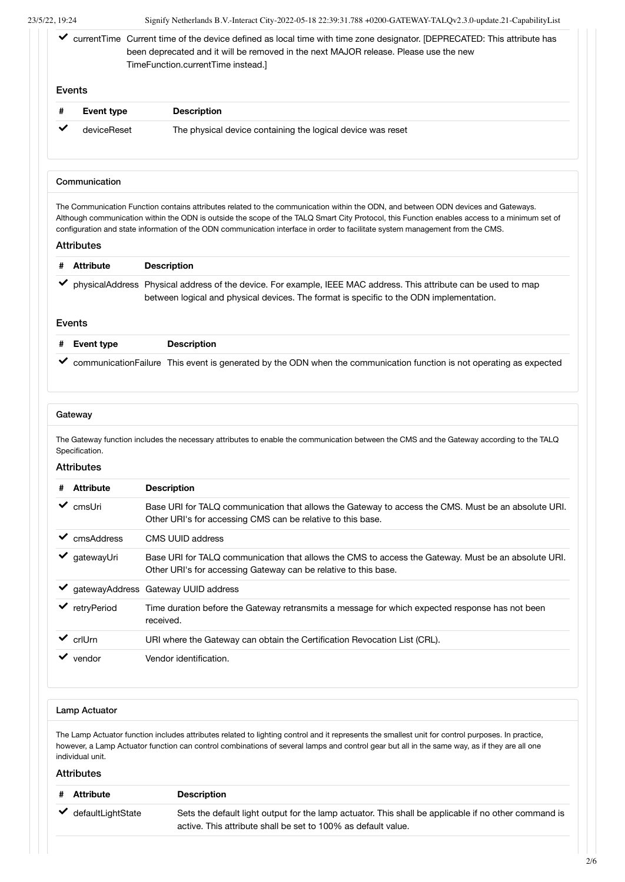|   |                   | ✔ currentTime Current time of the device defined as local time with time zone designator. [DEPRECATED: This attribute has<br>been deprecated and it will be removed in the next MAJOR release. Please use the new<br>TimeFunction.currentTime instead.]                       |
|---|-------------------|-------------------------------------------------------------------------------------------------------------------------------------------------------------------------------------------------------------------------------------------------------------------------------|
|   | Events            |                                                                                                                                                                                                                                                                               |
| # | <b>Event type</b> | <b>Description</b>                                                                                                                                                                                                                                                            |
| ✓ | deviceReset       | The physical device containing the logical device was reset                                                                                                                                                                                                                   |
|   |                   |                                                                                                                                                                                                                                                                               |
|   | Communication     | The Communication Function contains attributes related to the communication within the ODN, and between ODN devices and Gateways.                                                                                                                                             |
|   | <b>Attributes</b> | Although communication within the ODN is outside the scope of the TALQ Smart City Protocol, this Function enables access to a minimum set of<br>configuration and state information of the ODN communication interface in order to facilitate system management from the CMS. |
|   | <b>Attribute</b>  | <b>Description</b>                                                                                                                                                                                                                                                            |
|   |                   | physicalAddress Physical address of the device. For example, IEEE MAC address. This attribute can be used to map<br>between logical and physical devices. The format is specific to the ODN implementation.                                                                   |
|   | Events            |                                                                                                                                                                                                                                                                               |
| # | <b>Event type</b> | <b>Description</b>                                                                                                                                                                                                                                                            |

#### **Gateway**

The Gateway function includes the necessary attributes to enable the communication between the CMS and the Gateway according to the TALQ Specification.

#### **Attributes**

| # | <b>Attribute</b> | <b>Description</b>                                                                                                                                                     |
|---|------------------|------------------------------------------------------------------------------------------------------------------------------------------------------------------------|
| ✓ | cmsUri           | Base URI for TALQ communication that allows the Gateway to access the CMS. Must be an absolute URI.<br>Other URI's for accessing CMS can be relative to this base.     |
|   | cmsAddress       | CMS UUID address                                                                                                                                                       |
|   | qatewayUri       | Base URI for TALQ communication that allows the CMS to access the Gateway. Must be an absolute URI.<br>Other URI's for accessing Gateway can be relative to this base. |
|   |                  | gatewayAddress Gateway UUID address                                                                                                                                    |
|   | retryPeriod      | Time duration before the Gateway retransmits a message for which expected response has not been<br>received.                                                           |
|   | crll Jrn         | URI where the Gateway can obtain the Certification Revocation List (CRL).                                                                                              |
|   | vendor           | Vendor identification.                                                                                                                                                 |

#### Lamp Actuator

The Lamp Actuator function includes attributes related to lighting control and it represents the smallest unit for control purposes. In practice, however, a Lamp Actuator function can control combinations of several lamps and control gear but all in the same way, as if they are all one individual unit.

**Attributes** 

| Attribute         | <b>Description</b>                                                                                                                                                    |  |
|-------------------|-----------------------------------------------------------------------------------------------------------------------------------------------------------------------|--|
| defaultLightState | Sets the default light output for the lamp actuator. This shall be applicable if no other command is<br>active. This attribute shall be set to 100% as default value. |  |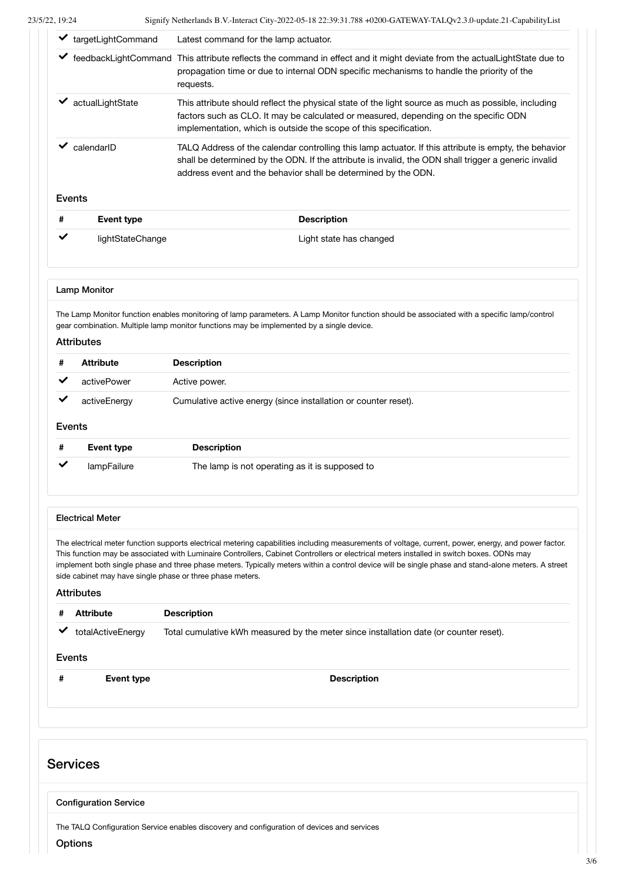| ✔      | targetLightCommand                                                                                                            | Latest command for the lamp actuator.                                                                                                                                                                                                                                                                                                                                                                                                                                        |
|--------|-------------------------------------------------------------------------------------------------------------------------------|------------------------------------------------------------------------------------------------------------------------------------------------------------------------------------------------------------------------------------------------------------------------------------------------------------------------------------------------------------------------------------------------------------------------------------------------------------------------------|
|        |                                                                                                                               | ✔ feedbackLightCommand This attribute reflects the command in effect and it might deviate from the actualLightState due to<br>propagation time or due to internal ODN specific mechanisms to handle the priority of the<br>requests.                                                                                                                                                                                                                                         |
|        | actualLightState                                                                                                              | This attribute should reflect the physical state of the light source as much as possible, including<br>factors such as CLO. It may be calculated or measured, depending on the specific ODN<br>implementation, which is outside the scope of this specification.                                                                                                                                                                                                             |
| ✔      | calendarID                                                                                                                    | TALQ Address of the calendar controlling this lamp actuator. If this attribute is empty, the behavior<br>shall be determined by the ODN. If the attribute is invalid, the ODN shall trigger a generic invalid<br>address event and the behavior shall be determined by the ODN.                                                                                                                                                                                              |
|        | Events                                                                                                                        |                                                                                                                                                                                                                                                                                                                                                                                                                                                                              |
| #      | <b>Event type</b>                                                                                                             | <b>Description</b>                                                                                                                                                                                                                                                                                                                                                                                                                                                           |
| ✔      | lightStateChange                                                                                                              | Light state has changed                                                                                                                                                                                                                                                                                                                                                                                                                                                      |
|        | <b>Lamp Monitor</b><br><b>Attributes</b>                                                                                      | The Lamp Monitor function enables monitoring of lamp parameters. A Lamp Monitor function should be associated with a specific lamp/control<br>gear combination. Multiple lamp monitor functions may be implemented by a single device.                                                                                                                                                                                                                                       |
| #<br>✔ | <b>Attribute</b><br>activePower<br>activeEnergy<br>Events                                                                     | <b>Description</b><br>Active power.<br>Cumulative active energy (since installation or counter reset).                                                                                                                                                                                                                                                                                                                                                                       |
| #      | <b>Event type</b><br>lampFailure                                                                                              | <b>Description</b><br>The lamp is not operating as it is supposed to                                                                                                                                                                                                                                                                                                                                                                                                         |
| #      | <b>Electrical Meter</b><br>side cabinet may have single phase or three phase meters.<br><b>Attributes</b><br><b>Attribute</b> | The electrical meter function supports electrical metering capabilities including measurements of voltage, current, power, energy, and power factor.<br>This function may be associated with Luminaire Controllers, Cabinet Controllers or electrical meters installed in switch boxes. ODNs may<br>implement both single phase and three phase meters. Typically meters within a control device will be single phase and stand-alone meters. A street<br><b>Description</b> |

### Services

Configuration Service

The TALQ Configuration Service enables discovery and configuration of devices and services

**Options**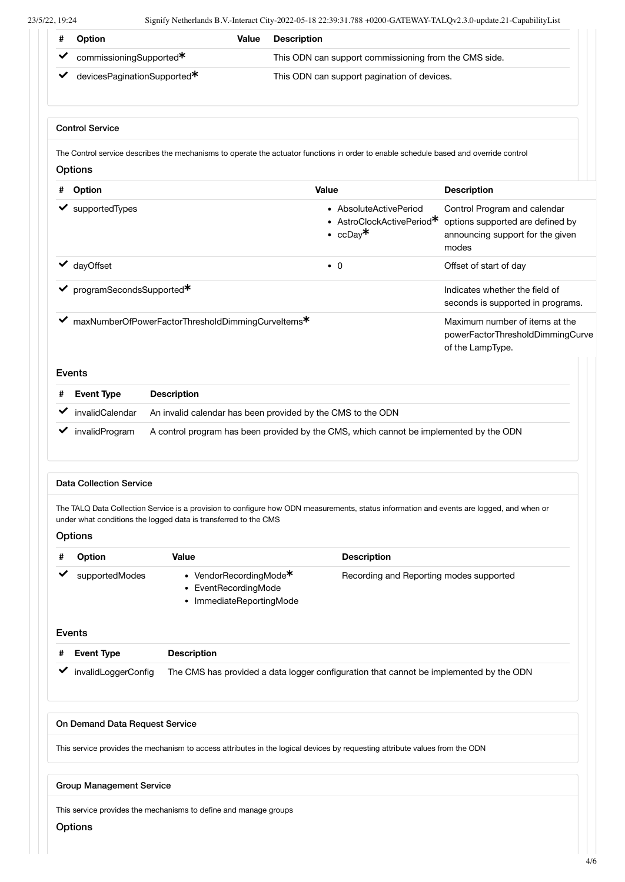| #           | Option                               | Value                                                                      | <b>Description</b>                                                                                                                       |                                                                                                               |
|-------------|--------------------------------------|----------------------------------------------------------------------------|------------------------------------------------------------------------------------------------------------------------------------------|---------------------------------------------------------------------------------------------------------------|
|             | commissioningSupported*              |                                                                            | This ODN can support commissioning from the CMS side.                                                                                    |                                                                                                               |
|             | devicesPaginationSupported*          |                                                                            | This ODN can support pagination of devices.                                                                                              |                                                                                                               |
|             | <b>Control Service</b>               |                                                                            |                                                                                                                                          |                                                                                                               |
|             | Options                              |                                                                            | The Control service describes the mechanisms to operate the actuator functions in order to enable schedule based and override control    |                                                                                                               |
| #           | Option                               |                                                                            | <b>Value</b>                                                                                                                             | <b>Description</b>                                                                                            |
|             | supportedTypes                       |                                                                            | • AbsoluteActivePeriod<br>• AstroClockActivePeriod*<br>• $ccDay*$                                                                        | Control Program and calendar<br>options supported are defined by<br>announcing support for the given<br>modes |
|             | dayOffset                            |                                                                            | $\bullet$ 0                                                                                                                              | Offset of start of day                                                                                        |
|             | programSecondsSupported*             |                                                                            |                                                                                                                                          | Indicates whether the field of<br>seconds is supported in programs.                                           |
| ✔           |                                      | maxNumberOfPowerFactorThresholdDimmingCurveltems*                          |                                                                                                                                          | Maximum number of items at the<br>powerFactorThresholdDimmingCurve<br>of the LampType.                        |
| Events      |                                      |                                                                            |                                                                                                                                          |                                                                                                               |
| #           | <b>Event Type</b><br>invalidCalendar | <b>Description</b>                                                         | An invalid calendar has been provided by the CMS to the ODN                                                                              |                                                                                                               |
|             | invalidProgram                       |                                                                            | A control program has been provided by the CMS, which cannot be implemented by the ODN                                                   |                                                                                                               |
|             | <b>Data Collection Service</b>       |                                                                            |                                                                                                                                          |                                                                                                               |
|             | <b>Options</b>                       | under what conditions the logged data is transferred to the CMS            | The TALQ Data Collection Service is a provision to configure how ODN measurements, status information and events are logged, and when or |                                                                                                               |
|             | <b>Option</b>                        | Value                                                                      | <b>Description</b>                                                                                                                       |                                                                                                               |
|             | supportedModes                       | • VendorRecordingMode*<br>• EventRecordingMode<br>• ImmediateReportingMode | Recording and Reporting modes supported                                                                                                  |                                                                                                               |
| Events<br># | <b>Event Type</b>                    | <b>Description</b>                                                         |                                                                                                                                          |                                                                                                               |
|             | invalidLoggerConfig                  |                                                                            | The CMS has provided a data logger configuration that cannot be implemented by the ODN                                                   |                                                                                                               |
|             | On Demand Data Request Service       |                                                                            |                                                                                                                                          |                                                                                                               |
|             |                                      |                                                                            | This service provides the mechanism to access attributes in the logical devices by requesting attribute values from the ODN              |                                                                                                               |
|             | <b>Group Management Service</b>      |                                                                            |                                                                                                                                          |                                                                                                               |
|             | <b>Options</b>                       | This service provides the mechanisms to define and manage groups           |                                                                                                                                          |                                                                                                               |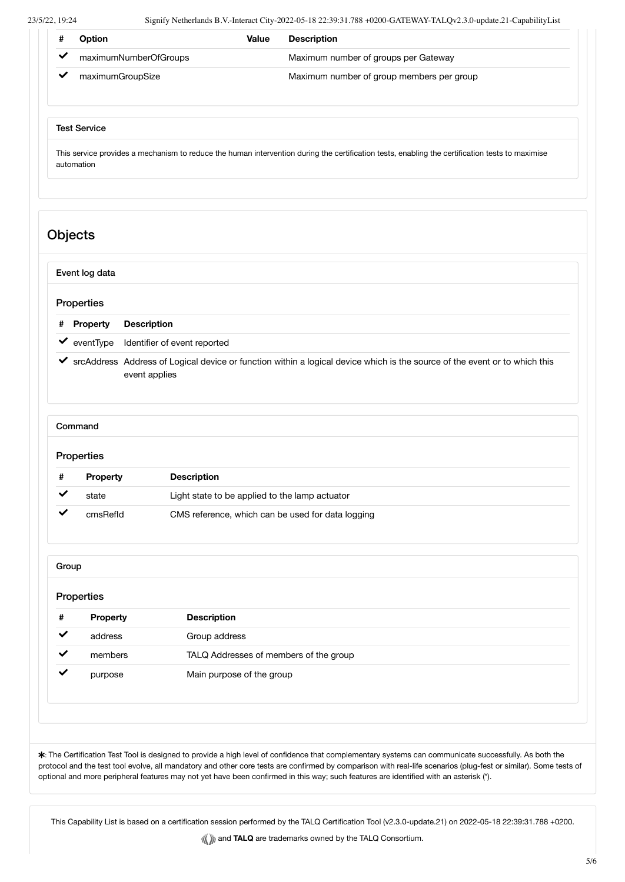| 23/5/22, 19:24 | Signify Netherlands B.V.-Interact City-2022-05-18 22:39:31.788 +0200-GATEWAY-TALQv2.3.0-update.21-CapabilityList                                              |                              |       |                                                                                                                              |  |  |
|----------------|---------------------------------------------------------------------------------------------------------------------------------------------------------------|------------------------------|-------|------------------------------------------------------------------------------------------------------------------------------|--|--|
| #              | Option                                                                                                                                                        |                              | Value | <b>Description</b>                                                                                                           |  |  |
| $\checkmark$   |                                                                                                                                                               | maximumNumberOfGroups        |       | Maximum number of groups per Gateway                                                                                         |  |  |
| $\checkmark$   | maximumGroupSize                                                                                                                                              |                              |       | Maximum number of group members per group                                                                                    |  |  |
|                | <b>Test Service</b>                                                                                                                                           |                              |       |                                                                                                                              |  |  |
|                | This service provides a mechanism to reduce the human intervention during the certification tests, enabling the certification tests to maximise<br>automation |                              |       |                                                                                                                              |  |  |
|                |                                                                                                                                                               |                              |       |                                                                                                                              |  |  |
|                |                                                                                                                                                               |                              |       |                                                                                                                              |  |  |
|                |                                                                                                                                                               |                              |       |                                                                                                                              |  |  |
|                |                                                                                                                                                               |                              |       |                                                                                                                              |  |  |
|                | <b>Objects</b>                                                                                                                                                |                              |       |                                                                                                                              |  |  |
|                |                                                                                                                                                               |                              |       |                                                                                                                              |  |  |
|                |                                                                                                                                                               |                              |       |                                                                                                                              |  |  |
|                | Event log data                                                                                                                                                |                              |       |                                                                                                                              |  |  |
|                | Properties                                                                                                                                                    |                              |       |                                                                                                                              |  |  |
| #              | <b>Property</b>                                                                                                                                               | <b>Description</b>           |       |                                                                                                                              |  |  |
|                | $\blacktriangleright$ event Type                                                                                                                              | Identifier of event reported |       |                                                                                                                              |  |  |
|                |                                                                                                                                                               | event applies                |       | ✔ srcAddress Address of Logical device or function within a logical device which is the source of the event or to which this |  |  |
|                |                                                                                                                                                               |                              |       |                                                                                                                              |  |  |
|                | Command                                                                                                                                                       |                              |       |                                                                                                                              |  |  |
|                | Properties                                                                                                                                                    |                              |       |                                                                                                                              |  |  |

| Property | <b>Description</b>                                |
|----------|---------------------------------------------------|
| state    | Light state to be applied to the lamp actuator    |
| cmsRefld | CMS reference, which can be used for data logging |

| Group        |          |                                        |  |  |  |
|--------------|----------|----------------------------------------|--|--|--|
| Properties   |          |                                        |  |  |  |
| #            | Property | <b>Description</b>                     |  |  |  |
| $\checkmark$ | address  | Group address                          |  |  |  |
| $\checkmark$ | members  | TALQ Addresses of members of the group |  |  |  |
| $\checkmark$ | purpose  | Main purpose of the group              |  |  |  |
|              |          |                                        |  |  |  |
|              |          |                                        |  |  |  |
|              |          |                                        |  |  |  |

: The Certification Test Tool is designed to provide a high level of confidence that complementary systems can communicate successfully. As both the protocol and the test tool evolve, all mandatory and other core tests are confirmed by comparison with real-life scenarios (plug-fest or similar). Some tests of optional and more peripheral features may not yet have been confirmed in this way; such features are identified with an asterisk (\*).

This Capability List is based on a certification session performed by the TALQ Certification Tool (v2.3.0-update.21) on 2022-05-18 22:39:31.788 +0200.

**We and TALQ** are trademarks owned by the TALQ Consortium.